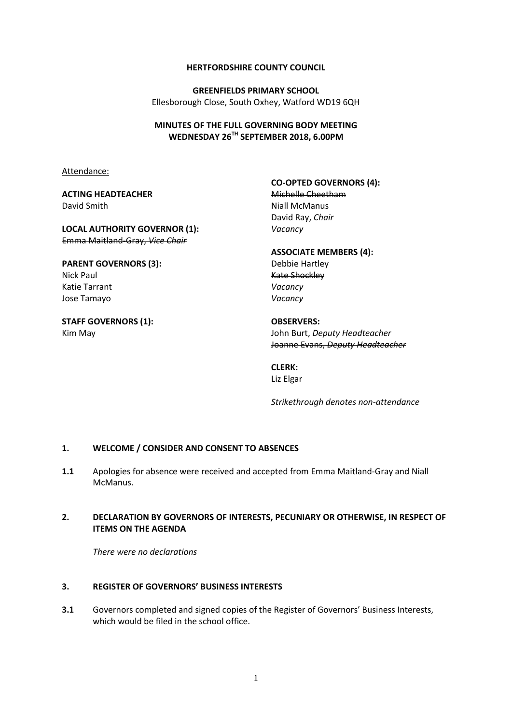#### **HERTFORDSHIRE COUNTY COUNCIL**

**GREENFIELDS PRIMARY SCHOOL** Ellesborough Close, South Oxhey, Watford WD19 6QH

#### **MINUTES OF THE FULL GOVERNING BODY MEETING WEDNESDAY 26TH SEPTEMBER 2018, 6.00PM**

Attendance:

#### **ACTING HEADTEACHER** David Smith

#### **LOCAL AUTHORITY GOVERNOR (1):** Emma Maitland-Gray, *Vice Chair*

## **PARENT GOVERNORS (3):** Nick Paul Katie Tarrant Jose Tamayo

**STAFF GOVERNORS (1):** Kim May

**CO-OPTED GOVERNORS (4):**

Michelle Cheetham Niall McManus David Ray, *Chair Vacancy*

# **ASSOCIATE MEMBERS (4):**

Debbie Hartley Kate Shockley *Vacancy Vacancy*

**OBSERVERS:** John Burt, *Deputy Headteacher* Joanne Evans, *Deputy Headteacher*

# **CLERK:**

Liz Elgar

*Strikethrough denotes non-attendance*

#### **1. WELCOME / CONSIDER AND CONSENT TO ABSENCES**

**1.1** Apologies for absence were received and accepted from Emma Maitland-Gray and Niall McManus.

## **2. DECLARATION BY GOVERNORS OF INTERESTS, PECUNIARY OR OTHERWISE, IN RESPECT OF ITEMS ON THE AGENDA**

*There were no declarations*

## **3. REGISTER OF GOVERNORS' BUSINESS INTERESTS**

**3.1** Governors completed and signed copies of the Register of Governors' Business Interests, which would be filed in the school office.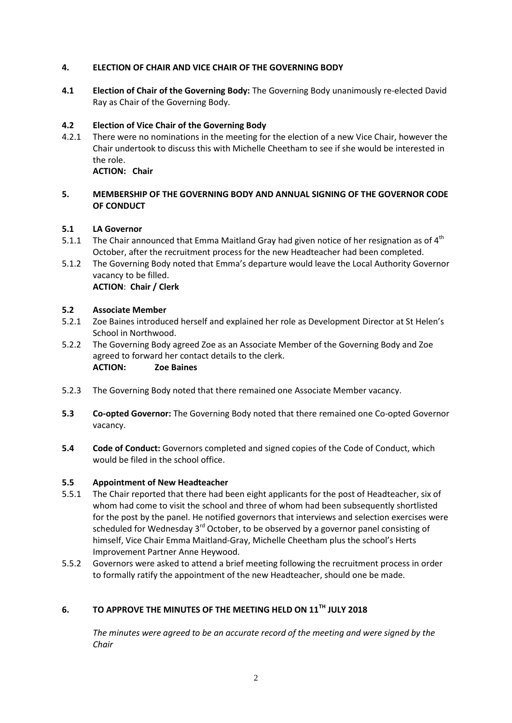## **4. ELECTION OF CHAIR AND VICE CHAIR OF THE GOVERNING BODY**

**4.1 Election of Chair of the Governing Body:** The Governing Body unanimously re-elected David Ray as Chair of the Governing Body.

## **4.2 Election of Vice Chair of the Governing Body**

4.2.1 There were no nominations in the meeting for the election of a new Vice Chair, however the Chair undertook to discuss this with Michelle Cheetham to see if she would be interested in the role. **ACTION: Chair**

## **5. MEMBERSHIP OF THE GOVERNING BODY AND ANNUAL SIGNING OF THE GOVERNOR CODE OF CONDUCT**

## **5.1 LA Governor**

- 5.1.1 The Chair announced that Emma Maitland Gray had given notice of her resignation as of  $4^{th}$ October, after the recruitment process for the new Headteacher had been completed.
- 5.1.2 The Governing Body noted that Emma's departure would leave the Local Authority Governor vacancy to be filled.

## **ACTION**: **Chair / Clerk**

#### **5.2 Associate Member**

- 5.2.1 Zoe Baines introduced herself and explained her role as Development Director at St Helen's School in Northwood.
- 5.2.2 The Governing Body agreed Zoe as an Associate Member of the Governing Body and Zoe agreed to forward her contact details to the clerk. **ACTION: Zoe Baines**
- 5.2.3 The Governing Body noted that there remained one Associate Member vacancy.
- **5.3 Co-opted Governor:** The Governing Body noted that there remained one Co-opted Governor vacancy.
- **5.4 Code of Conduct:** Governors completed and signed copies of the Code of Conduct, which would be filed in the school office.

#### **5.5 Appointment of New Headteacher**

- 5.5.1 The Chair reported that there had been eight applicants for the post of Headteacher, six of whom had come to visit the school and three of whom had been subsequently shortlisted for the post by the panel. He notified governors that interviews and selection exercises were scheduled for Wednesday  $3<sup>rd</sup>$  October, to be observed by a governor panel consisting of himself, Vice Chair Emma Maitland-Gray, Michelle Cheetham plus the school's Herts Improvement Partner Anne Heywood.
- 5.5.2 Governors were asked to attend a brief meeting following the recruitment process in order to formally ratify the appointment of the new Headteacher, should one be made.

# **6. TO APPROVE THE MINUTES OF THE MEETING HELD ON 11TH JULY 2018**

*The minutes were agreed to be an accurate record of the meeting and were signed by the Chair*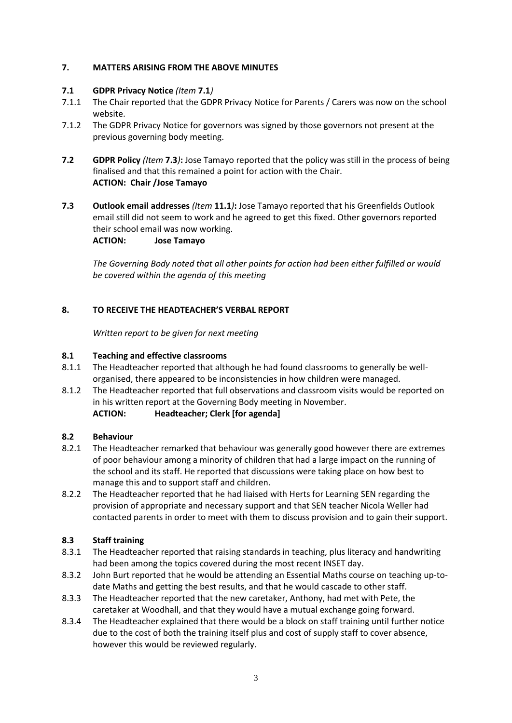## **7. MATTERS ARISING FROM THE ABOVE MINUTES**

## **7.1 GDPR Privacy Notice** *(Item* **7.1***)*

- 7.1.1 The Chair reported that the GDPR Privacy Notice for Parents / Carers was now on the school website.
- 7.1.2 The GDPR Privacy Notice for governors was signed by those governors not present at the previous governing body meeting.
- **7.2 GDPR Policy** *(Item* **7.3***)***:** Jose Tamayo reported that the policy was still in the process of being finalised and that this remained a point for action with the Chair. **ACTION: Chair /Jose Tamayo**
- **7.3 Outlook email addresses** *(Item* **11.1***)***:** Jose Tamayo reported that his Greenfields Outlook email still did not seem to work and he agreed to get this fixed. Other governors reported their school email was now working. **ACTION: Jose Tamayo**

*The Governing Body noted that all other points for action had been either fulfilled or would be covered within the agenda of this meeting*

## **8. TO RECEIVE THE HEADTEACHER'S VERBAL REPORT**

*Written report to be given for next meeting*

#### **8.1 Teaching and effective classrooms**

- 8.1.1 The Headteacher reported that although he had found classrooms to generally be wellorganised, there appeared to be inconsistencies in how children were managed.
- 8.1.2 The Headteacher reported that full observations and classroom visits would be reported on in his written report at the Governing Body meeting in November. **ACTION: Headteacher; Clerk [for agenda]**

#### **8.2 Behaviour**

- 8.2.1 The Headteacher remarked that behaviour was generally good however there are extremes of poor behaviour among a minority of children that had a large impact on the running of the school and its staff. He reported that discussions were taking place on how best to manage this and to support staff and children.
- 8.2.2 The Headteacher reported that he had liaised with Herts for Learning SEN regarding the provision of appropriate and necessary support and that SEN teacher Nicola Weller had contacted parents in order to meet with them to discuss provision and to gain their support.

#### **8.3 Staff training**

- 8.3.1 The Headteacher reported that raising standards in teaching, plus literacy and handwriting had been among the topics covered during the most recent INSET day.
- 8.3.2 John Burt reported that he would be attending an Essential Maths course on teaching up-todate Maths and getting the best results, and that he would cascade to other staff.
- 8.3.3 The Headteacher reported that the new caretaker, Anthony, had met with Pete, the caretaker at Woodhall, and that they would have a mutual exchange going forward.
- 8.3.4 The Headteacher explained that there would be a block on staff training until further notice due to the cost of both the training itself plus and cost of supply staff to cover absence, however this would be reviewed regularly.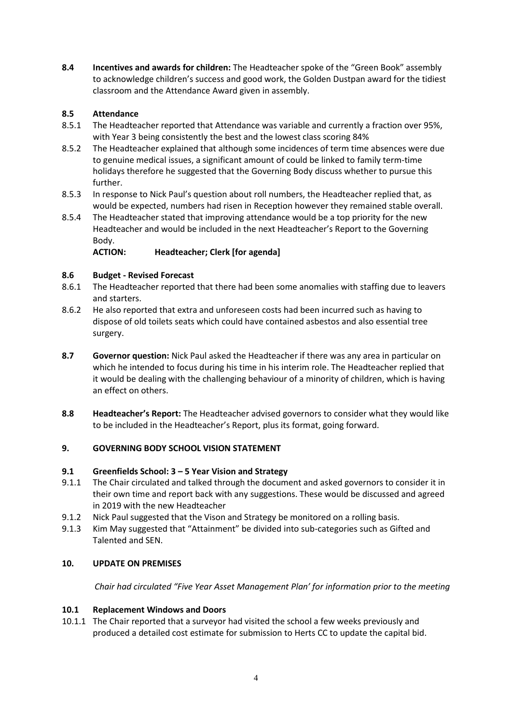**8.4 Incentives and awards for children:** The Headteacher spoke of the "Green Book" assembly to acknowledge children's success and good work, the Golden Dustpan award for the tidiest classroom and the Attendance Award given in assembly.

# **8.5 Attendance**

- 8.5.1 The Headteacher reported that Attendance was variable and currently a fraction over 95%, with Year 3 being consistently the best and the lowest class scoring 84%
- 8.5.2 The Headteacher explained that although some incidences of term time absences were due to genuine medical issues, a significant amount of could be linked to family term-time holidays therefore he suggested that the Governing Body discuss whether to pursue this further.
- 8.5.3 In response to Nick Paul's question about roll numbers, the Headteacher replied that, as would be expected, numbers had risen in Reception however they remained stable overall.
- 8.5.4 The Headteacher stated that improving attendance would be a top priority for the new Headteacher and would be included in the next Headteacher's Report to the Governing Body.<br>**ACTION:**

**ACTION: Headteacher; Clerk [for agenda]**

# **8.6 Budget - Revised Forecast**

- 8.6.1 The Headteacher reported that there had been some anomalies with staffing due to leavers and starters.
- 8.6.2 He also reported that extra and unforeseen costs had been incurred such as having to dispose of old toilets seats which could have contained asbestos and also essential tree surgery.
- **8.7 Governor question:** Nick Paul asked the Headteacher if there was any area in particular on which he intended to focus during his time in his interim role. The Headteacher replied that it would be dealing with the challenging behaviour of a minority of children, which is having an effect on others.
- **8.8 Headteacher's Report:** The Headteacher advised governors to consider what they would like to be included in the Headteacher's Report, plus its format, going forward.

# **9. GOVERNING BODY SCHOOL VISION STATEMENT**

## **9.1 Greenfields School: 3 – 5 Year Vision and Strategy**

- 9.1.1 The Chair circulated and talked through the document and asked governors to consider it in their own time and report back with any suggestions. These would be discussed and agreed in 2019 with the new Headteacher
- 9.1.2 Nick Paul suggested that the Vison and Strategy be monitored on a rolling basis.
- 9.1.3 Kim May suggested that "Attainment" be divided into sub-categories such as Gifted and Talented and SEN.

## **10. UPDATE ON PREMISES**

*Chair had circulated "Five Year Asset Management Plan' for information prior to the meeting*

## **10.1 Replacement Windows and Doors**

10.1.1 The Chair reported that a surveyor had visited the school a few weeks previously and produced a detailed cost estimate for submission to Herts CC to update the capital bid.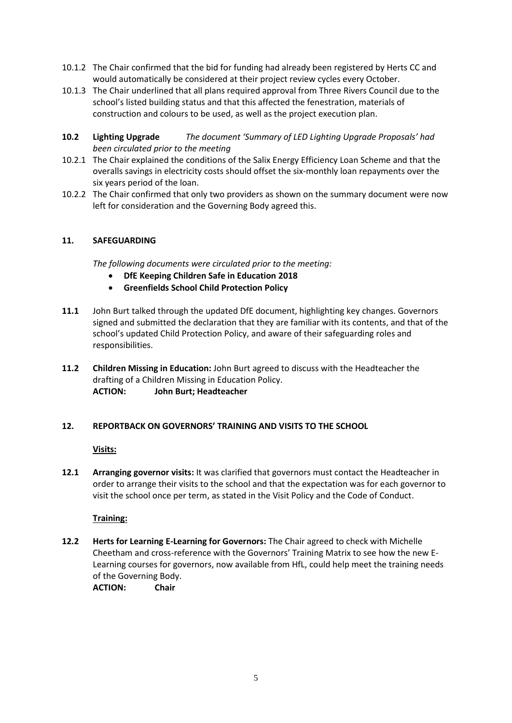- 10.1.2 The Chair confirmed that the bid for funding had already been registered by Herts CC and would automatically be considered at their project review cycles every October.
- 10.1.3 The Chair underlined that all plans required approval from Three Rivers Council due to the school's listed building status and that this affected the fenestration, materials of construction and colours to be used, as well as the project execution plan.
- **10.2 Lighting Upgrade** *The document 'Summary of LED Lighting Upgrade Proposals' had been circulated prior to the meeting*
- 10.2.1 The Chair explained the conditions of the Salix Energy Efficiency Loan Scheme and that the overalls savings in electricity costs should offset the six-monthly loan repayments over the six years period of the loan.
- 10.2.2 The Chair confirmed that only two providers as shown on the summary document were now left for consideration and the Governing Body agreed this.

## **11. SAFEGUARDING**

*The following documents were circulated prior to the meeting:*

- **DfE Keeping Children Safe in Education 2018**
- **Greenfields School Child Protection Policy**
- **11.1** John Burt talked through the updated DfE document, highlighting key changes. Governors signed and submitted the declaration that they are familiar with its contents, and that of the school's updated Child Protection Policy, and aware of their safeguarding roles and responsibilities.
- **11.2 Children Missing in Education:** John Burt agreed to discuss with the Headteacher the drafting of a Children Missing in Education Policy. **ACTION: John Burt; Headteacher**

#### **12. REPORTBACK ON GOVERNORS' TRAINING AND VISITS TO THE SCHOOL**

**Visits:**

**12.1 Arranging governor visits:** It was clarified that governors must contact the Headteacher in order to arrange their visits to the school and that the expectation was for each governor to visit the school once per term, as stated in the Visit Policy and the Code of Conduct.

#### **Training:**

**12.2 Herts for Learning E-Learning for Governors:** The Chair agreed to check with Michelle Cheetham and cross-reference with the Governors' Training Matrix to see how the new E-Learning courses for governors, now available from HfL, could help meet the training needs of the Governing Body.

**ACTION: Chair**